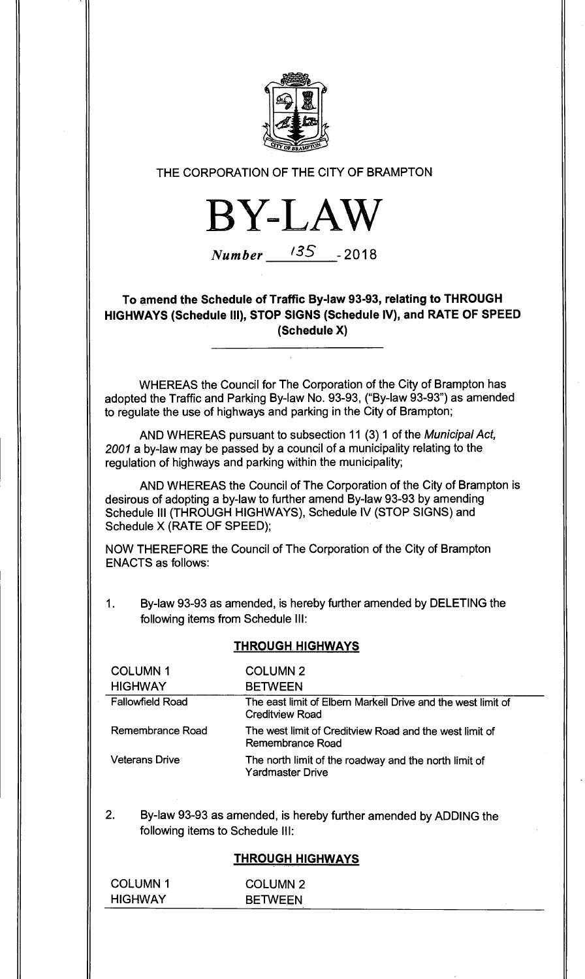

### THE CORPORATION OF THE CITY OF BRAMPTON

**BY-LAW** 

# **Number 135** - 2018

**To amend the Schedule of Traffic By-law 93-93, relating to THROUGH HIGHWAYS (Schedule III), STOP SIGNS (Schedule IV), and RATE OF SPEED (Schedule X)** 

WHEREAS the Council for The Corporation of the City of Brampton has adopted the Traffic and Parking By-law No. 93-93, ("By-law 93-93") as amended to regulate the use of highways and parking in the City of Brampton;

AND WHEREAS pursuant to subsection 11 (3) 1 of the Municipal Act, 2001 a by-law may be passed by a council of a municipality relating to the regulation of highways and parking within the municipality;

AND WHEREAS the Council of The Corporation of the City of Brampton is desirous of adopting a by-law to further amend By-law 93-93 by amending Schedule III (THROUGH HIGHWAYS), Schedule IV (STOP SIGNS) and Schedule X (RATE OF SPEED);

NOW THEREFORE the Council of The Corporation of the City of Brampton ENACTS as follows:

1. By-law 93-93 as amended, is hereby further amended by DELETING the following items from Schedule III:

#### **THROUGH. HIGHWAYS**

| <b>COLUMN1</b>          | <b>COLUMN 2</b>                                                                        |
|-------------------------|----------------------------------------------------------------------------------------|
| <b>HIGHWAY</b>          | <b>BETWEEN</b>                                                                         |
| <b>Fallowfield Road</b> | The east limit of Elbern Markell Drive and the west limit of<br><b>Creditview Road</b> |
| Remembrance Road        | The west limit of Creditview Road and the west limit of<br>Remembrance Road            |
| <b>Veterans Drive</b>   | The north limit of the roadway and the north limit of<br>Yardmaster Drive              |

2. By-law 93-93 as amended, is hereby further amended by ADDING the following items to Schedule III:

#### **THROUGH HIGHWAYS**

| <b>COLUMN1</b> | <b>COLUMN 2</b> |  |
|----------------|-----------------|--|
| <b>HIGHWAY</b> | <b>BETWEEN</b>  |  |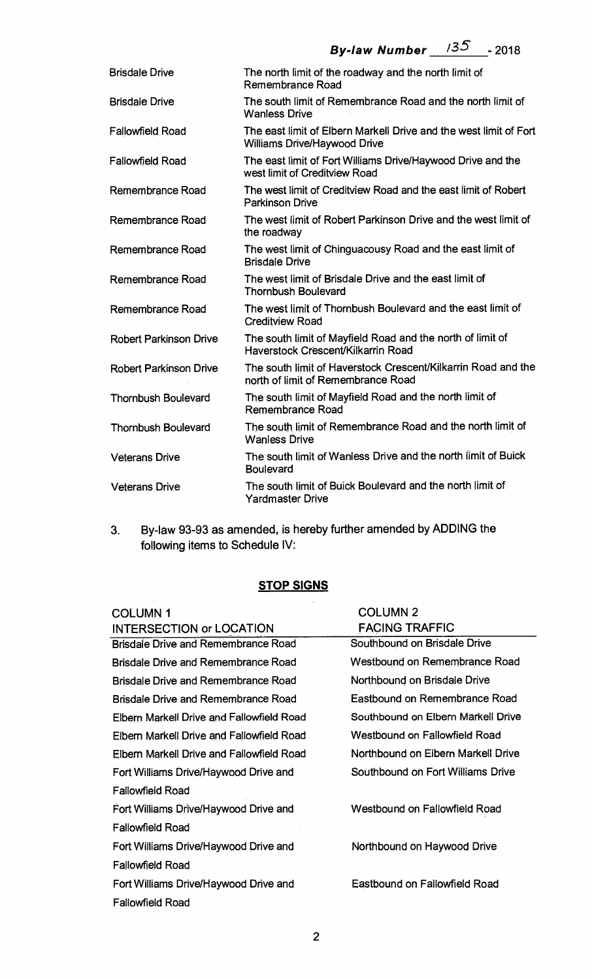| <b>Brisdale Drive</b>         | The north limit of the roadway and the north limit of<br>Remembrance Road                                |
|-------------------------------|----------------------------------------------------------------------------------------------------------|
| <b>Brisdale Drive</b>         | The south limit of Remembrance Road and the north limit of<br><b>Wanless Drive</b>                       |
| <b>Fallowfield Road</b>       | The east limit of Elbern Markell Drive and the west limit of Fort<br><b>Williams Drive/Haywood Drive</b> |
| <b>Fallowfield Road</b>       | The east limit of Fort Williams Drive/Haywood Drive and the<br>west limit of Creditview Road             |
| Remembrance Road              | The west limit of Creditview Road and the east limit of Robert<br><b>Parkinson Drive</b>                 |
| Remembrance Road              | The west limit of Robert Parkinson Drive and the west limit of<br>the roadway                            |
| Remembrance Road              | The west limit of Chinguacousy Road and the east limit of<br><b>Brisdale Drive</b>                       |
| Remembrance Road              | The west limit of Brisdale Drive and the east limit of<br><b>Thornbush Boulevard</b>                     |
| Remembrance Road              | The west limit of Thornbush Boulevard and the east limit of<br><b>Creditview Road</b>                    |
| <b>Robert Parkinson Drive</b> | The south limit of Mayfield Road and the north of limit of<br>Haverstock Crescent/Kilkarrin Road         |
| <b>Robert Parkinson Drive</b> | The south limit of Haverstock Crescent/Kilkarrin Road and the<br>north of limit of Remembrance Road      |
| <b>Thornbush Boulevard</b>    | The south limit of Mayfield Road and the north limit of<br>Remembrance Road                              |
| <b>Thornbush Boulevard</b>    | The south limit of Remembrance Road and the north limit of<br><b>Wanless Drive</b>                       |
| <b>Veterans Drive</b>         | The south limit of Wanless Drive and the north limit of Buick<br><b>Boulevard</b>                        |
| <b>Veterans Drive</b>         | The south limit of Buick Boulevard and the north limit of<br><b>Yardmaster Drive</b>                     |
|                               |                                                                                                          |

**3. By-law 93-93 as amended, is hereby further amended by ADDING the following items to Schedule IV:** 

## **STOP SIGNS**

| <b>COLUMN1</b>                             | <b>COLUMN 2</b>                      |
|--------------------------------------------|--------------------------------------|
| <b>INTERSECTION or LOCATION</b>            | <b>FACING TRAFFIC</b>                |
| <b>Brisdale Drive and Remembrance Road</b> | Southbound on Brisdale Drive         |
| <b>Brisdale Drive and Remembrance Road</b> | Westbound on Remembrance Road        |
| <b>Brisdale Drive and Remembrance Road</b> | Northbound on Brisdale Drive         |
| <b>Brisdale Drive and Remembrance Road</b> | Eastbound on Remembrance Road        |
| Elbern Markell Drive and Fallowfield Road  | Southbound on Elbern Markell Drive   |
| Elbern Markell Drive and Fallowfield Road  | Westbound on Fallowfield Road        |
| Elbern Markell Drive and Fallowfield Road  | Northbound on Elbern Markell Drive   |
| Fort Williams Drive/Haywood Drive and      | Southbound on Fort Williams Drive    |
| <b>Fallowfield Road</b>                    |                                      |
| Fort Williams Drive/Haywood Drive and      | <b>Westbound on Fallowfield Road</b> |
| <b>Fallowfield Road</b>                    |                                      |
| Fort Williams Drive/Haywood Drive and      | Northbound on Haywood Drive          |
| <b>Fallowfield Road</b>                    |                                      |
| Fort Williams Drive/Haywood Drive and      | <b>Eastbound on Fallowfield Road</b> |
| <b>Fallowfield Road</b>                    |                                      |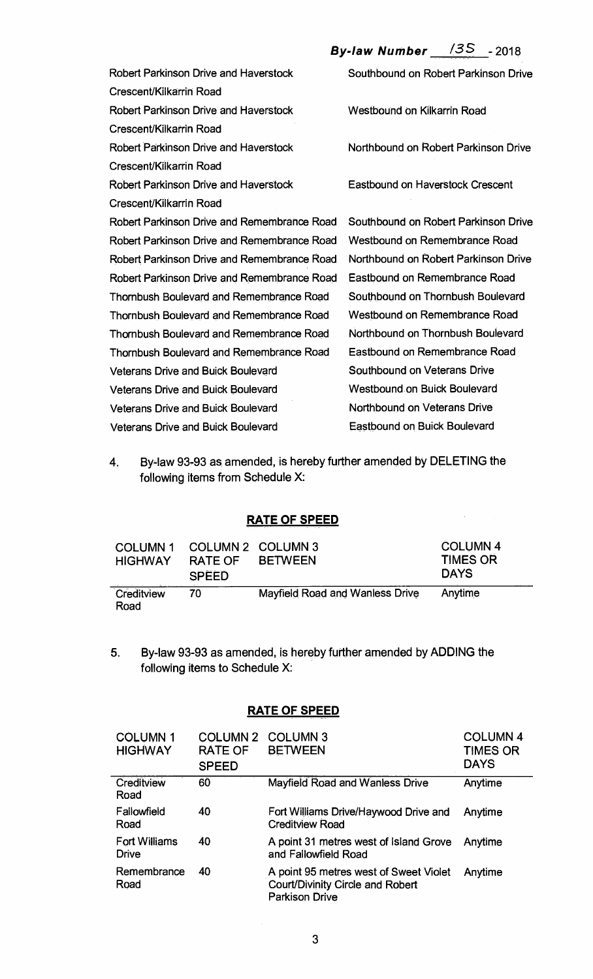**By-law Number** /3S -<sup>2018</sup>

Robert Parkinson Drive and Haverstock Crescent/Kilkarrin Road Robert Parkinson Drive and Haverstock Crescent/Kilkarrin Road Robert Parkinson Drive and Haverstock Crescent/Kilkarrin Road Robert Parkinson Drive and Haverstock Crescent/Kilkarrin Road Robert Parkinson Drive and Remembrance Road Robert Parkinson Drive and Remembrance Road Robert Parkinson Drive and Remembrance Road Robert Parkinson Drive and Remembrance Road Thombush Boulevard and Remembrance Road Thornbush Boulevard and Remembrance Road Thombush Boulevard and Remembrance Road Thornbush Boulevard and Remembrance Road Veterans Drive and Buick Boulevard Veterans Drive and Buick Boulevard Veterans Drive and Buick Boulevard Veterans Drive and Buick Boulevard Southbound on Robert Parkinson Drive Westbound on Kilkarrin Road Northbound on Robert Parkinson Drive Eastbound on Haverstock Crescent Southbound on Robert Parkinson Drive Westbound on Remembrance Road Northbound on Robert Parkinson Drive Eastbound on Remembrance Road Southbound on Thornbush Boulevard Westbound on Remembrance Road Northbound on Thornbush Boulevard Eastbound on Remembrance Road Southbound on Veterans Drive Westbound on Buick Boulevard Northbound on Veterans Drive Eastbound on Buick Boulevard

4. By-law 93-93 as amended, is hereby further amended by DELETING the following items from Schedule X:

## **RATE OF SPEED**

| <b>COLUMN1</b><br><b>HIGHWAY</b> | RATE OF<br><b>SPEED</b> | COLUMN 2 COLUMN 3<br><b>BETWEEN</b> | <b>COLUMN 4</b><br><b>TIMES OR</b><br><b>DAYS</b> |
|----------------------------------|-------------------------|-------------------------------------|---------------------------------------------------|
| Creditview<br>Road               | 70                      | Mayfield Road and Wanless Drive     | Anytime                                           |

5. By-law 93-93 as amended, is hereby further amended by ADDING the following items to Schedule X:

#### **RATE OF SPEED**

| <b>COLUMN1</b><br><b>HIGHWAY</b>     | <b>COLUMN 2</b><br><b>RATE OF</b><br><b>SPEED</b> | <b>COLUMN 3</b><br><b>BETWEEN</b>                                                                          | <b>COLUMN4</b><br><b>TIMES OR</b><br><b>DAYS</b> |
|--------------------------------------|---------------------------------------------------|------------------------------------------------------------------------------------------------------------|--------------------------------------------------|
| Creditview<br>Road                   | 60                                                | <b>Mayfield Road and Wanless Drive</b>                                                                     | Anytime                                          |
| Fallowfield<br>Road                  | 40                                                | Fort Williams Drive/Haywood Drive and<br><b>Creditview Road</b>                                            | Anytime                                          |
| <b>Fort Williams</b><br><b>Drive</b> | 40                                                | A point 31 metres west of Island Grove<br>and Fallowfield Road                                             | Anytime                                          |
| Remembrance<br>Road                  | 40                                                | A point 95 metres west of Sweet Violet<br><b>Court/Divinity Circle and Robert</b><br><b>Parkison Drive</b> | Anytime                                          |